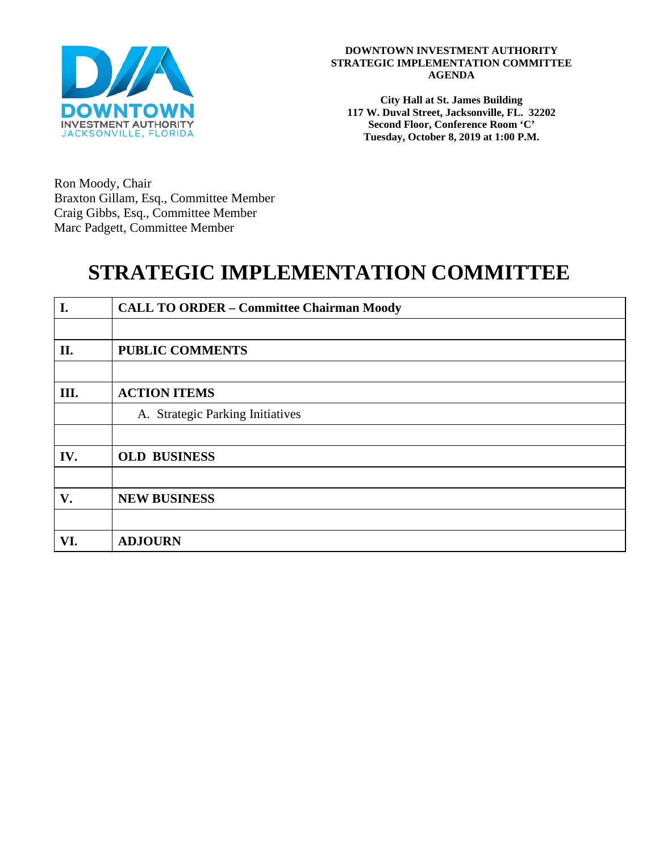

#### **DOWNTOWN INVESTMENT AUTHORITY STRATEGIC IMPLEMENTATION COMMITTEE AGENDA**

**City Hall at St. James Building 117 W. Duval Street, Jacksonville, FL. 32202 Second Floor, Conference Room 'C' Tuesday, October 8, 2019 at 1:00 P.M.**

Ron Moody, Chair Braxton Gillam, Esq., Committee Member Craig Gibbs, Esq., Committee Member Marc Padgett, Committee Member

# **STRATEGIC IMPLEMENTATION COMMITTEE**

| I.   | <b>CALL TO ORDER - Committee Chairman Moody</b> |
|------|-------------------------------------------------|
|      |                                                 |
| II.  | <b>PUBLIC COMMENTS</b>                          |
|      |                                                 |
| III. | <b>ACTION ITEMS</b>                             |
|      | A. Strategic Parking Initiatives                |
|      |                                                 |
| IV.  | <b>OLD BUSINESS</b>                             |
|      |                                                 |
| V.   | <b>NEW BUSINESS</b>                             |
|      |                                                 |
| VI.  | <b>ADJOURN</b>                                  |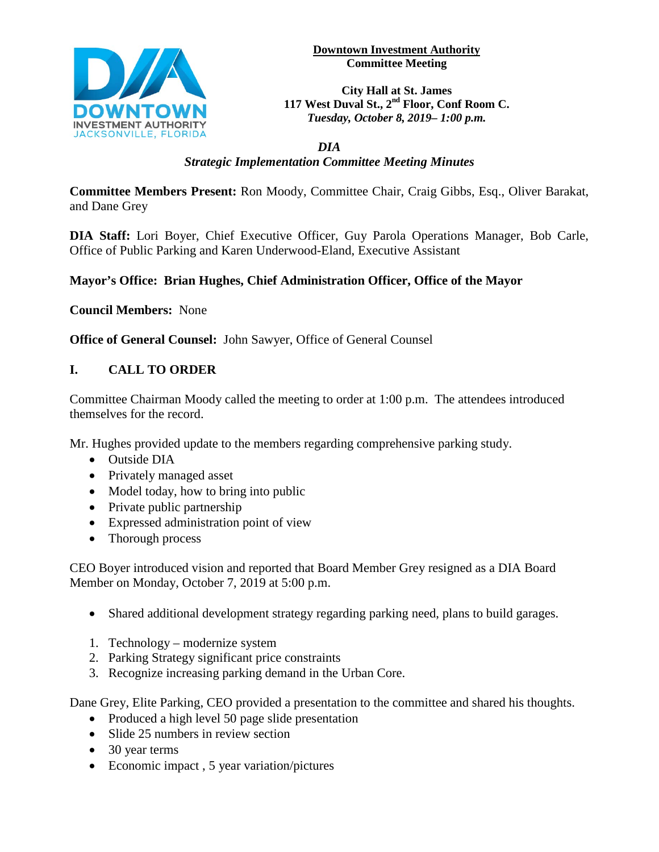

## **Downtown Investment Authority Committee Meeting**

**City Hall at St. James 117 West Duval St., 2nd Floor, Conf Room C.**  *Tuesday, October 8, 2019– 1:00 p.m.*

## *DIA Strategic Implementation Committee Meeting Minutes*

**Committee Members Present:** Ron Moody, Committee Chair, Craig Gibbs, Esq., Oliver Barakat, and Dane Grey

**DIA Staff:** Lori Boyer, Chief Executive Officer, Guy Parola Operations Manager, Bob Carle, Office of Public Parking and Karen Underwood-Eland, Executive Assistant

# **Mayor's Office: Brian Hughes, Chief Administration Officer, Office of the Mayor**

**Council Members:** None

**Office of General Counsel:** John Sawyer, Office of General Counsel

# **I. CALL TO ORDER**

Committee Chairman Moody called the meeting to order at 1:00 p.m. The attendees introduced themselves for the record.

Mr. Hughes provided update to the members regarding comprehensive parking study.

- Outside DIA
- Privately managed asset
- Model today, how to bring into public
- Private public partnership
- Expressed administration point of view
- Thorough process

CEO Boyer introduced vision and reported that Board Member Grey resigned as a DIA Board Member on Monday, October 7, 2019 at 5:00 p.m.

- Shared additional development strategy regarding parking need, plans to build garages.
- 1. Technology modernize system
- 2. Parking Strategy significant price constraints
- 3. Recognize increasing parking demand in the Urban Core.

Dane Grey, Elite Parking, CEO provided a presentation to the committee and shared his thoughts.

- Produced a high level 50 page slide presentation
- Slide 25 numbers in review section
- 30 year terms
- Economic impact , 5 year variation/pictures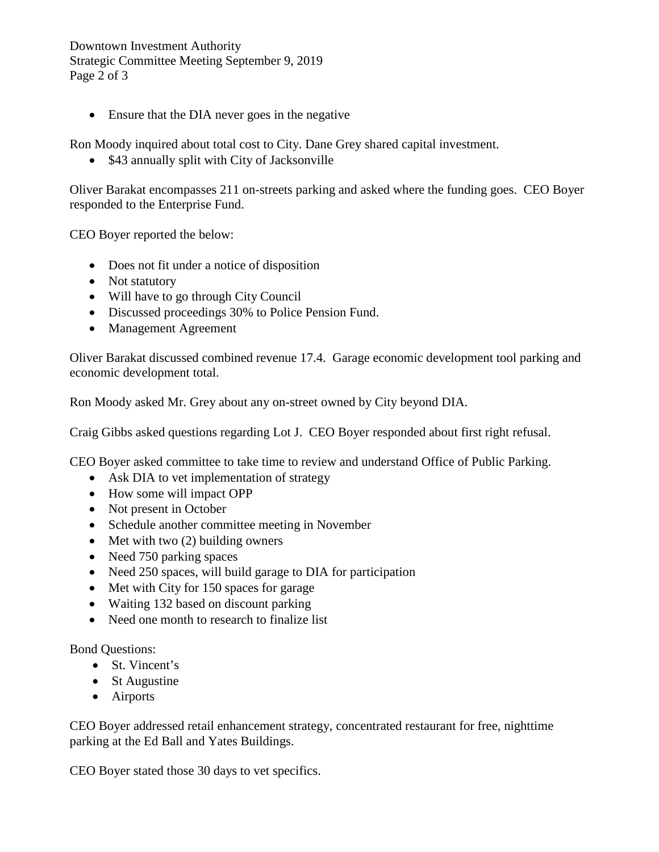Downtown Investment Authority Strategic Committee Meeting September 9, 2019 Page 2 of 3

• Ensure that the DIA never goes in the negative

Ron Moody inquired about total cost to City. Dane Grey shared capital investment.

• \$43 annually split with City of Jacksonville

Oliver Barakat encompasses 211 on-streets parking and asked where the funding goes. CEO Boyer responded to the Enterprise Fund.

CEO Boyer reported the below:

- Does not fit under a notice of disposition
- Not statutory
- Will have to go through City Council
- Discussed proceedings 30% to Police Pension Fund.
- Management Agreement

Oliver Barakat discussed combined revenue 17.4. Garage economic development tool parking and economic development total.

Ron Moody asked Mr. Grey about any on-street owned by City beyond DIA.

Craig Gibbs asked questions regarding Lot J. CEO Boyer responded about first right refusal.

CEO Boyer asked committee to take time to review and understand Office of Public Parking.

- Ask DIA to vet implementation of strategy
- How some will impact OPP
- Not present in October
- Schedule another committee meeting in November
- Met with two  $(2)$  building owners
- Need 750 parking spaces
- Need 250 spaces, will build garage to DIA for participation
- Met with City for 150 spaces for garage
- Waiting 132 based on discount parking
- Need one month to research to finalize list

Bond Questions:

- St. Vincent's
- St Augustine
- Airports

CEO Boyer addressed retail enhancement strategy, concentrated restaurant for free, nighttime parking at the Ed Ball and Yates Buildings.

CEO Boyer stated those 30 days to vet specifics.